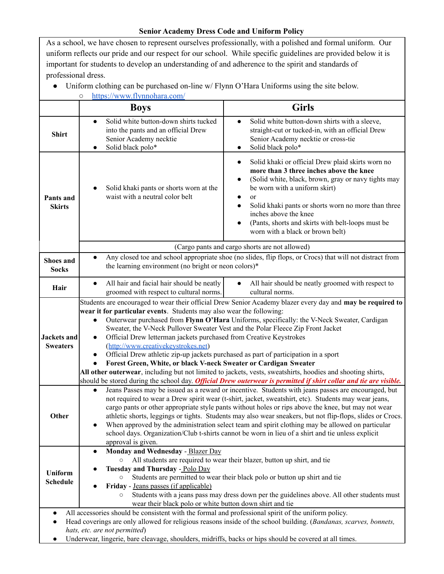## **Senior Academy Dress Code and Uniform Policy**

As a school, we have chosen to represent ourselves professionally, with a polished and formal uniform. Our uniform reflects our pride and our respect for our school. While specific guidelines are provided below it is important for students to develop an understanding of and adherence to the spirit and standards of professional dress.

● Uniform clothing can be purchased on-line w/ Flynn O'Hara Uniforms using the site below.

| https://www.flynnohara.com/<br>$\circ$                                                                                                                                                                                                                                                                                                                                                                                                                                                                                                                                                                                                                                                                                                                                                                                                                                                                                   |                                                                                                                                                                                                                                                                                                                                                                                                                                                                                                                                                                                                                                                                                                                                                                                                                                                                                                                |                                                                                                                                                                                                                                                                                                                                                                                |
|--------------------------------------------------------------------------------------------------------------------------------------------------------------------------------------------------------------------------------------------------------------------------------------------------------------------------------------------------------------------------------------------------------------------------------------------------------------------------------------------------------------------------------------------------------------------------------------------------------------------------------------------------------------------------------------------------------------------------------------------------------------------------------------------------------------------------------------------------------------------------------------------------------------------------|----------------------------------------------------------------------------------------------------------------------------------------------------------------------------------------------------------------------------------------------------------------------------------------------------------------------------------------------------------------------------------------------------------------------------------------------------------------------------------------------------------------------------------------------------------------------------------------------------------------------------------------------------------------------------------------------------------------------------------------------------------------------------------------------------------------------------------------------------------------------------------------------------------------|--------------------------------------------------------------------------------------------------------------------------------------------------------------------------------------------------------------------------------------------------------------------------------------------------------------------------------------------------------------------------------|
|                                                                                                                                                                                                                                                                                                                                                                                                                                                                                                                                                                                                                                                                                                                                                                                                                                                                                                                          | <b>Boys</b>                                                                                                                                                                                                                                                                                                                                                                                                                                                                                                                                                                                                                                                                                                                                                                                                                                                                                                    | <b>Girls</b>                                                                                                                                                                                                                                                                                                                                                                   |
| <b>Shirt</b>                                                                                                                                                                                                                                                                                                                                                                                                                                                                                                                                                                                                                                                                                                                                                                                                                                                                                                             | Solid white button-down shirts tucked<br>$\bullet$<br>into the pants and an official Drew<br>Senior Academy necktie<br>Solid black polo*<br>$\bullet$                                                                                                                                                                                                                                                                                                                                                                                                                                                                                                                                                                                                                                                                                                                                                          | Solid white button-down shirts with a sleeve,<br>$\bullet$<br>straight-cut or tucked-in, with an official Drew<br>Senior Academy necktie or cross-tie<br>Solid black polo*<br>$\bullet$                                                                                                                                                                                        |
| Pants and<br><b>Skirts</b>                                                                                                                                                                                                                                                                                                                                                                                                                                                                                                                                                                                                                                                                                                                                                                                                                                                                                               | Solid khaki pants or shorts worn at the<br>waist with a neutral color belt                                                                                                                                                                                                                                                                                                                                                                                                                                                                                                                                                                                                                                                                                                                                                                                                                                     | Solid khaki or official Drew plaid skirts worn no<br>more than 3 three inches above the knee<br>(Solid white, black, brown, gray or navy tights may<br>be worn with a uniform skirt)<br><sub>or</sub><br>Solid khaki pants or shorts worn no more than three<br>inches above the knee<br>(Pants, shorts and skirts with belt-loops must be<br>worn with a black or brown belt) |
|                                                                                                                                                                                                                                                                                                                                                                                                                                                                                                                                                                                                                                                                                                                                                                                                                                                                                                                          | (Cargo pants and cargo shorts are not allowed)                                                                                                                                                                                                                                                                                                                                                                                                                                                                                                                                                                                                                                                                                                                                                                                                                                                                 |                                                                                                                                                                                                                                                                                                                                                                                |
| <b>Shoes and</b><br><b>Socks</b>                                                                                                                                                                                                                                                                                                                                                                                                                                                                                                                                                                                                                                                                                                                                                                                                                                                                                         | Any closed toe and school appropriate shoe (no slides, flip flops, or Crocs) that will not distract from<br>$\bullet$<br>the learning environment (no bright or neon colors)*                                                                                                                                                                                                                                                                                                                                                                                                                                                                                                                                                                                                                                                                                                                                  |                                                                                                                                                                                                                                                                                                                                                                                |
| Hair                                                                                                                                                                                                                                                                                                                                                                                                                                                                                                                                                                                                                                                                                                                                                                                                                                                                                                                     | All hair and facial hair should be neatly<br>$\bullet$<br>groomed with respect to cultural norms.                                                                                                                                                                                                                                                                                                                                                                                                                                                                                                                                                                                                                                                                                                                                                                                                              | All hair should be neatly groomed with respect to<br>$\bullet$<br>cultural norms.                                                                                                                                                                                                                                                                                              |
| <b>Jackets</b> and<br><b>Sweaters</b>                                                                                                                                                                                                                                                                                                                                                                                                                                                                                                                                                                                                                                                                                                                                                                                                                                                                                    | Students are encouraged to wear their official Drew Senior Academy blazer every day and may be required to<br>wear it for particular events. Students may also wear the following:<br>Outerwear purchased from Flynn O'Hara Uniforms, specifically: the V-Neck Sweater, Cardigan<br>$\bullet$<br>Sweater, the V-Neck Pullover Sweater Vest and the Polar Fleece Zip Front Jacket<br>Official Drew letterman jackets purchased from Creative Keystrokes<br>$\bullet$<br>(http://www.creativekeystrokes.net)<br>Official Drew athletic zip-up jackets purchased as part of participation in a sport<br>٠<br>Forest Green, White, or black V-neck Sweater or Cardigan Sweater<br>All other outerwear, including but not limited to jackets, vests, sweatshirts, hoodies and shooting shirts,<br>should be stored during the school day. Official Drew outerwear is permitted if shirt collar and tie are visible. |                                                                                                                                                                                                                                                                                                                                                                                |
| Other                                                                                                                                                                                                                                                                                                                                                                                                                                                                                                                                                                                                                                                                                                                                                                                                                                                                                                                    | Jeans Passes may be issued as a reward or incentive. Students with jeans passes are encouraged, but<br>$\bullet$<br>not required to wear a Drew spirit wear (t-shirt, jacket, sweatshirt, etc). Students may wear jeans,<br>cargo pants or other appropriate style pants without holes or rips above the knee, but may not wear<br>athletic shorts, leggings or tights. Students may also wear sneakers, but not flip-flops, slides or Crocs.<br>When approved by the administration select team and spirit clothing may be allowed on particular<br>$\bullet$<br>school days. Organization/Club t-shirts cannot be worn in lieu of a shirt and tie unless explicit<br>approval is given.                                                                                                                                                                                                                      |                                                                                                                                                                                                                                                                                                                                                                                |
| Monday and Wednesday - Blazer Day<br>$\bullet$<br>All students are required to wear their blazer, button up shirt, and tie<br>Tuesday and Thursday - Polo Day<br><b>Uniform</b><br>Students are permitted to wear their black polo or button up shirt and tie<br>$\circ$<br><b>Schedule</b><br>Friday - Jeans passes (if applicable)<br>Students with a jeans pass may dress down per the guidelines above. All other students must<br>$\circ$<br>wear their black polo or white button down shirt and tie<br>All accessories should be consistent with the formal and professional spirit of the uniform policy.<br>$\bullet$<br>Head coverings are only allowed for religious reasons inside of the school building. (Bandanas, scarves, bonnets,<br>$\bullet$<br>hats, etc. are not permitted)<br>Underwear, lingerie, bare cleavage, shoulders, midriffs, backs or hips should be covered at all times.<br>$\bullet$ |                                                                                                                                                                                                                                                                                                                                                                                                                                                                                                                                                                                                                                                                                                                                                                                                                                                                                                                |                                                                                                                                                                                                                                                                                                                                                                                |